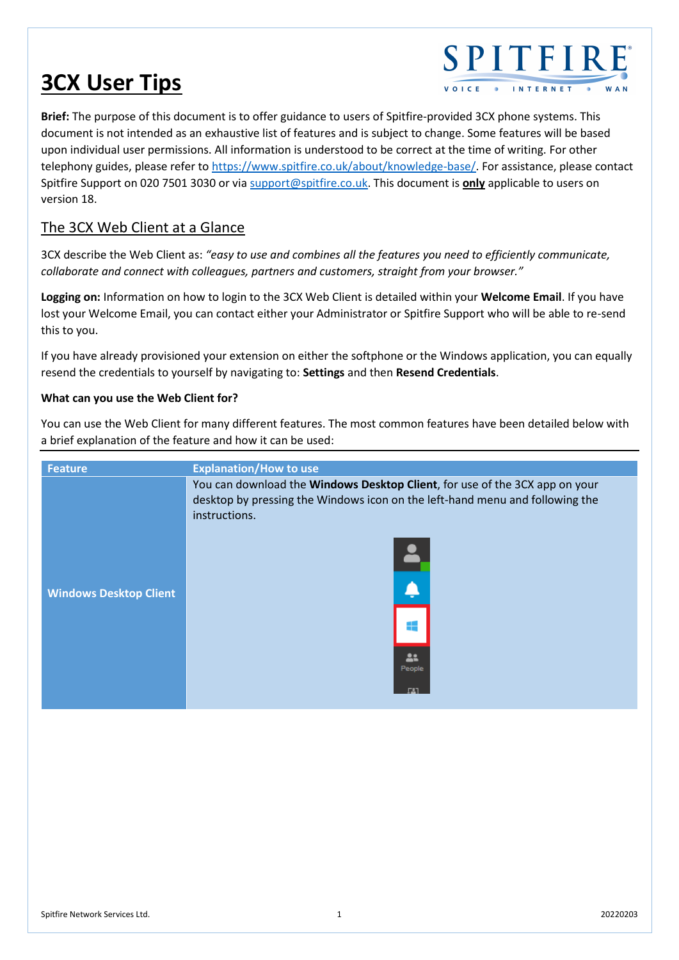# **3CX User Tips**

# SPITFIRE **INTERNET**

**Brief:** The purpose of this document is to offer guidance to users of Spitfire-provided 3CX phone systems. This document is not intended as an exhaustive list of features and is subject to change. Some features will be based upon individual user permissions. All information is understood to be correct at the time of writing. For other telephony guides, please refer to [https://www.spitfire.co.uk/about/knowledge-base/.](https://www.spitfire.co.uk/about/knowledge-base/) For assistance, please contact Spitfire Support on 020 7501 3030 or via [support@spitfire.co.uk.](mailto:support@spitfire.co.uk) This document is **only** applicable to users on version 18.

# The 3CX Web Client at a Glance

3CX describe the Web Client as: *"easy to use and combines all the features you need to efficiently communicate, collaborate and connect with colleagues, partners and customers, straight from your browser."*

**Logging on:** Information on how to login to the 3CX Web Client is detailed within your **Welcome Email**. If you have lost your Welcome Email, you can contact either your Administrator or Spitfire Support who will be able to re-send this to you.

If you have already provisioned your extension on either the softphone or the Windows application, you can equally resend the credentials to yourself by navigating to: **Settings** and then **Resend Credentials**.

### **What can you use the Web Client for?**

You can use the Web Client for many different features. The most common features have been detailed below with a brief explanation of the feature and how it can be used:

| <b>Feature</b>                | <b>Explanation/How to use</b>                                                                                                                                                                               |
|-------------------------------|-------------------------------------------------------------------------------------------------------------------------------------------------------------------------------------------------------------|
| <b>Windows Desktop Client</b> | You can download the Windows Desktop Client, for use of the 3CX app on your<br>desktop by pressing the Windows icon on the left-hand menu and following the<br>instructions.<br>F<br>Á<br>÷<br>22<br>People |
|                               |                                                                                                                                                                                                             |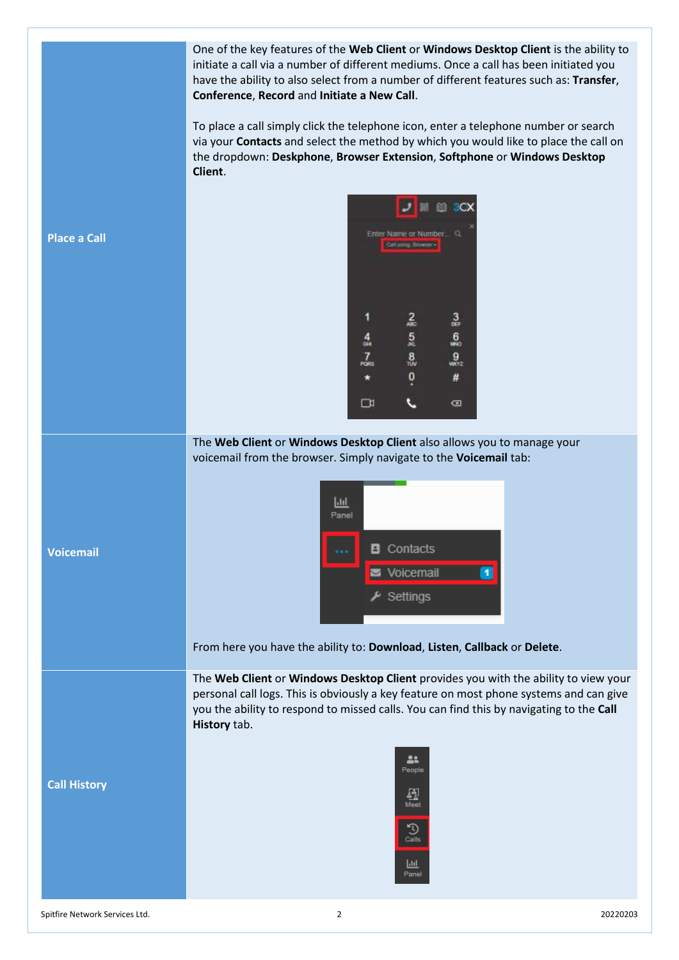|                     | One of the key features of the Web Client or Windows Desktop Client is the ability to<br>initiate a call via a number of different mediums. Once a call has been initiated you<br>have the ability to also select from a number of different features such as: Transfer,<br>Conference, Record and Initiate a New Call. |
|---------------------|-------------------------------------------------------------------------------------------------------------------------------------------------------------------------------------------------------------------------------------------------------------------------------------------------------------------------|
|                     | To place a call simply click the telephone icon, enter a telephone number or search<br>via your Contacts and select the method by which you would like to place the call on<br>the dropdown: Deskphone, Browser Extension, Softphone or Windows Desktop<br>Client.                                                      |
| <b>Place a Call</b> | 画<br>Enter Name or Number.<br>Call Milly, Rowaen                                                                                                                                                                                                                                                                        |
|                     | $\frac{2}{480}$<br>$\frac{3}{n+1}$<br>$\frac{5}{8}$<br>$\frac{6}{20}$<br>$\frac{4}{1}$<br>$\frac{8}{10}$<br>7<br>$\frac{9}{10002}$<br>PÓRS<br>0<br>#<br>$\Box$<br>☎                                                                                                                                                     |
|                     | The Web Client or Windows Desktop Client also allows you to manage your<br>voicemail from the browser. Simply navigate to the Voicemail tab:                                                                                                                                                                            |
| <b>Voicemail</b>    | $L_{\rm H}$<br>Panel<br><b>B</b> Contacts<br>Voicemail<br>$\frac{\mu}{\sqrt{2}}$ Settings                                                                                                                                                                                                                               |
|                     | From here you have the ability to: Download, Listen, Callback or Delete.                                                                                                                                                                                                                                                |
|                     | The Web Client or Windows Desktop Client provides you with the ability to view your<br>personal call logs. This is obviously a key feature on most phone systems and can give<br>you the ability to respond to missed calls. You can find this by navigating to the Call<br>History tab.                                |
| <b>Call History</b> | 22<br>People<br>쯾<br>Meet<br>D<br>Calls<br><u> Jıl</u><br>Panel                                                                                                                                                                                                                                                         |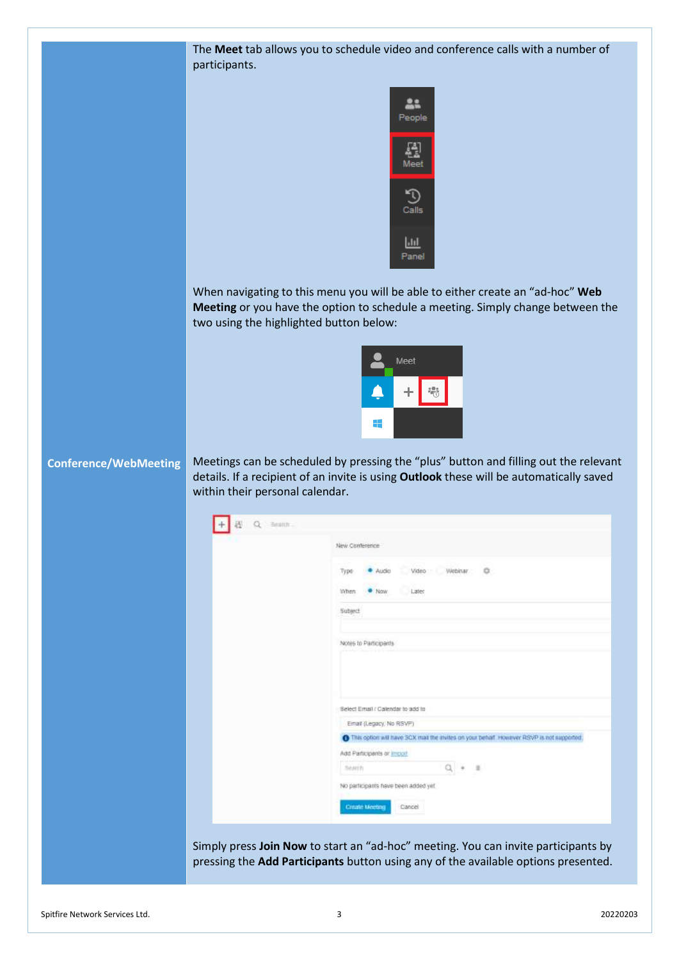The **Meet** tab allows you to schedule video and conference calls with a number of participants.



When navigating to this menu you will be able to either create an "ad-hoc" **Web Meeting** or you have the option to schedule a meeting. Simply change between the two using the highlighted button below:



#### **Conference/WebMeeting**

Meetings can be scheduled by pressing the "plus" button and filling out the relevant details. If a recipient of an invite is using **Outlook** these will be automatically saved within their personal calendar.

| New Conference                                                                                     |
|----------------------------------------------------------------------------------------------------|
| Video Webinar O<br>· Audio<br>Type                                                                 |
| Later<br>$\bullet$ Now<br>When                                                                     |
| Subject                                                                                            |
| Notes to Participants                                                                              |
|                                                                                                    |
| Select Email / Calendar to add to                                                                  |
| Email (Legacy, No RSVP)                                                                            |
| <b>O</b> This option will have SCX mail the invites on your behalf. However RSVP is not supported. |
| Add Participants or import                                                                         |
| $Q + 1$<br><b>Bearch</b>                                                                           |
| No participants have been added yet.                                                               |
|                                                                                                    |

Simply press **Join Now** to start an "ad-hoc" meeting. You can invite participants by pressing the **Add Participants** button using any of the available options presented.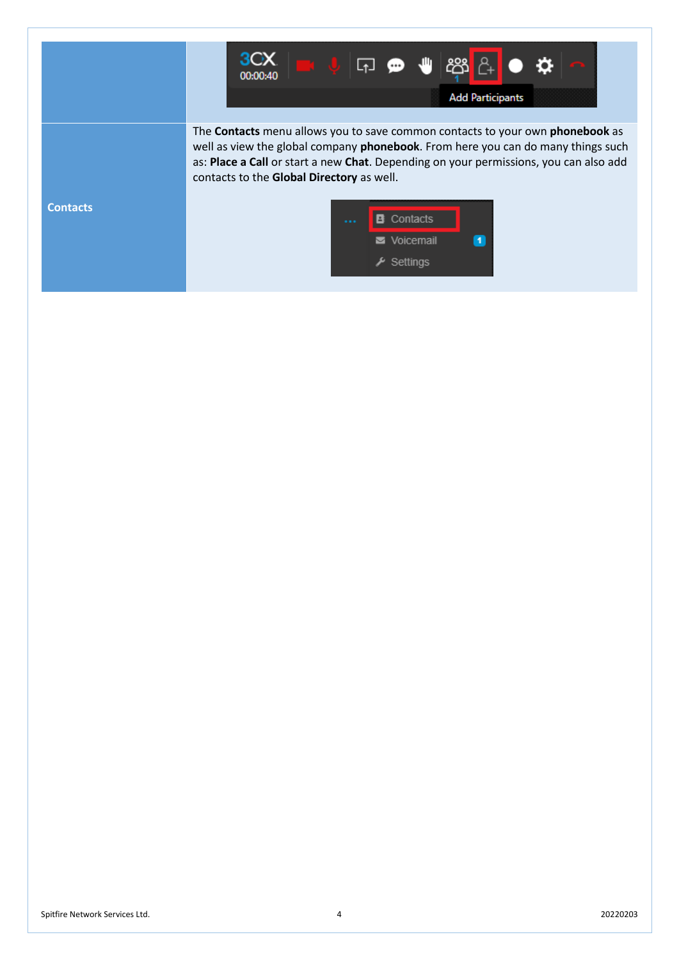|                 | 30 X<br><b>888</b> A<br>l√ ©<br>00:00:40<br><b>Add Participants</b>                                                                                                                                                                                                                                                   |
|-----------------|-----------------------------------------------------------------------------------------------------------------------------------------------------------------------------------------------------------------------------------------------------------------------------------------------------------------------|
|                 | The <b>Contacts</b> menu allows you to save common contacts to your own <b>phonebook</b> as<br>well as view the global company phonebook. From here you can do many things such<br>as: Place a Call or start a new Chat. Depending on your permissions, you can also add<br>contacts to the Global Directory as well. |
| <b>Contacts</b> | Contacts<br>$\bullet$<br>Voicemail<br>$\lambda$ Settings                                                                                                                                                                                                                                                              |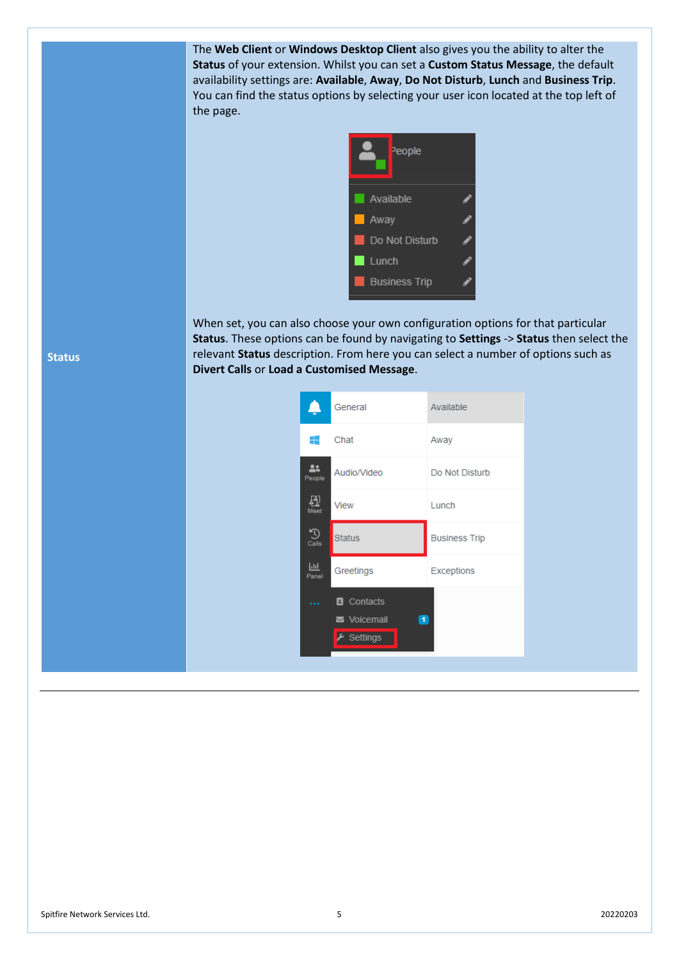The **Web Client** or **Windows Desktop Client** also gives you the ability to alter the **Status** of your extension. Whilst you can set a **Custom Status Message**, the default availability settings are: **Available**, **Away**, **Do Not Disturb**, **Lunch** and **Business Trip**. You can find the status options by selecting your user icon located at the top left of the page.



When set, you can also choose your own configuration options for that particular **Status**. These options can be found by navigating to **Settings** -> **Status** then select the relevant **Status** description. From here you can select a number of options such as **Divert Calls** or **Load a Customised Message**.





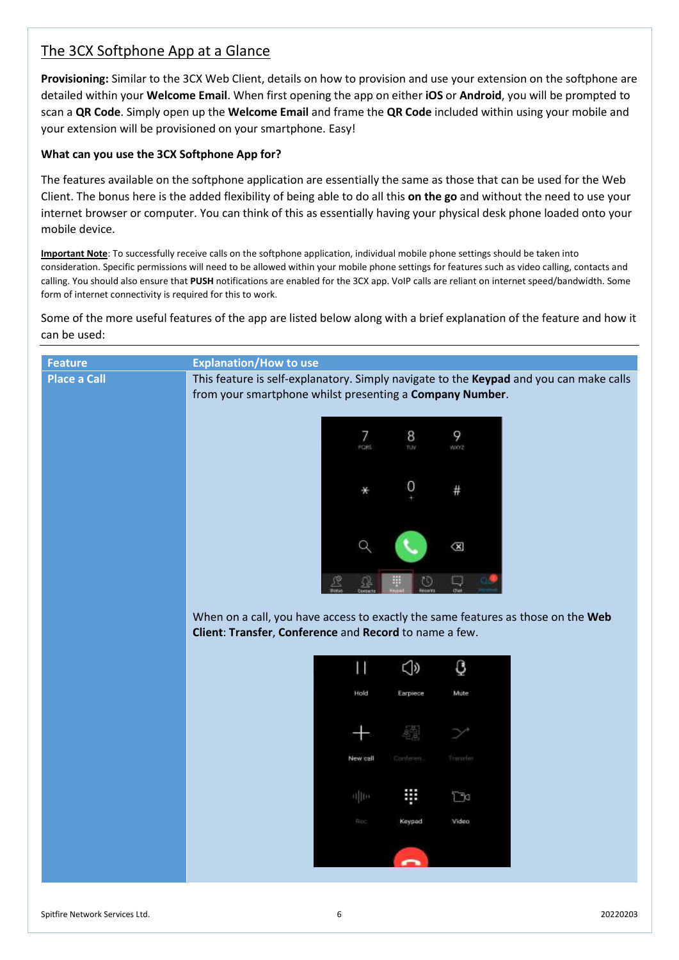## The 3CX Softphone App at a Glance

**Provisioning:** Similar to the 3CX Web Client, details on how to provision and use your extension on the softphone are detailed within your **Welcome Email**. When first opening the app on either **iOS** or **Android**, you will be prompted to scan a **QR Code**. Simply open up the **Welcome Email** and frame the **QR Code** included within using your mobile and your extension will be provisioned on your smartphone. Easy!

#### **What can you use the 3CX Softphone App for?**

The features available on the softphone application are essentially the same as those that can be used for the Web Client. The bonus here is the added flexibility of being able to do all this **on the go** and without the need to use your internet browser or computer. You can think of this as essentially having your physical desk phone loaded onto your mobile device.

**Important Note**: To successfully receive calls on the softphone application, individual mobile phone settings should be taken into consideration. Specific permissions will need to be allowed within your mobile phone settings for features such as video calling, contacts and calling. You should also ensure that **PUSH** notifications are enabled for the 3CX app. VoIP calls are reliant on internet speed/bandwidth. Some form of internet connectivity is required for this to work.

Some of the more useful features of the app are listed below along with a brief explanation of the feature and how it can be used:

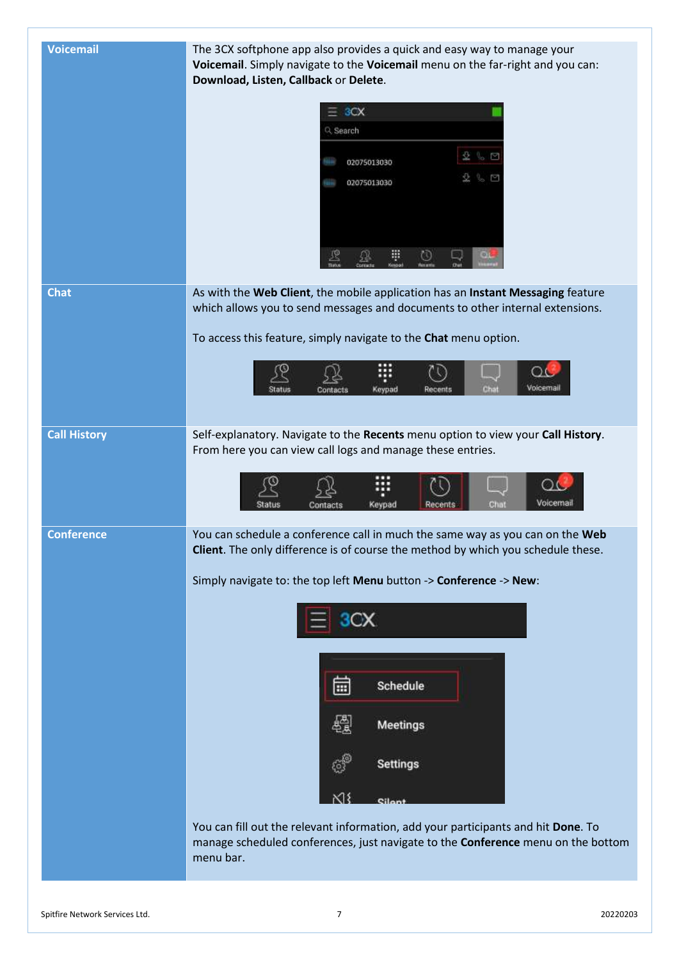| <b>Voicemail</b>    | The 3CX softphone app also provides a quick and easy way to manage your<br>Voicemail. Simply navigate to the Voicemail menu on the far-right and you can:<br>Download, Listen, Callback or Delete.<br>3CX<br>Q Search<br>$B_6$ $B_7$<br>02075013030                                                                                                                                         |
|---------------------|---------------------------------------------------------------------------------------------------------------------------------------------------------------------------------------------------------------------------------------------------------------------------------------------------------------------------------------------------------------------------------------------|
|                     | 02075013030<br>₩<br>69                                                                                                                                                                                                                                                                                                                                                                      |
| <b>Chat</b>         | As with the Web Client, the mobile application has an Instant Messaging feature<br>which allows you to send messages and documents to other internal extensions.<br>To access this feature, simply navigate to the Chat menu option.<br>Voicemail<br>Chat<br>Contacts<br>Keypad<br>Recents                                                                                                  |
| <b>Call History</b> | Self-explanatory. Navigate to the Recents menu option to view your Call History.<br>From here you can view call logs and manage these entries.<br>Voicemail<br>Chat<br>Keypad<br>Recents<br>Status<br>Contacts                                                                                                                                                                              |
| <b>Conference</b>   | You can schedule a conference call in much the same way as you can on the Web<br>Client. The only difference is of course the method by which you schedule these.<br>Simply navigate to: the top left Menu button -> Conference -> New:<br>画<br>Schedule<br>Meetings<br><b>Settings</b><br>K١<br>Cilon<br>You can fill out the relevant information, add your participants and hit Done. To |
|                     | manage scheduled conferences, just navigate to the Conference menu on the bottom<br>menu bar.                                                                                                                                                                                                                                                                                               |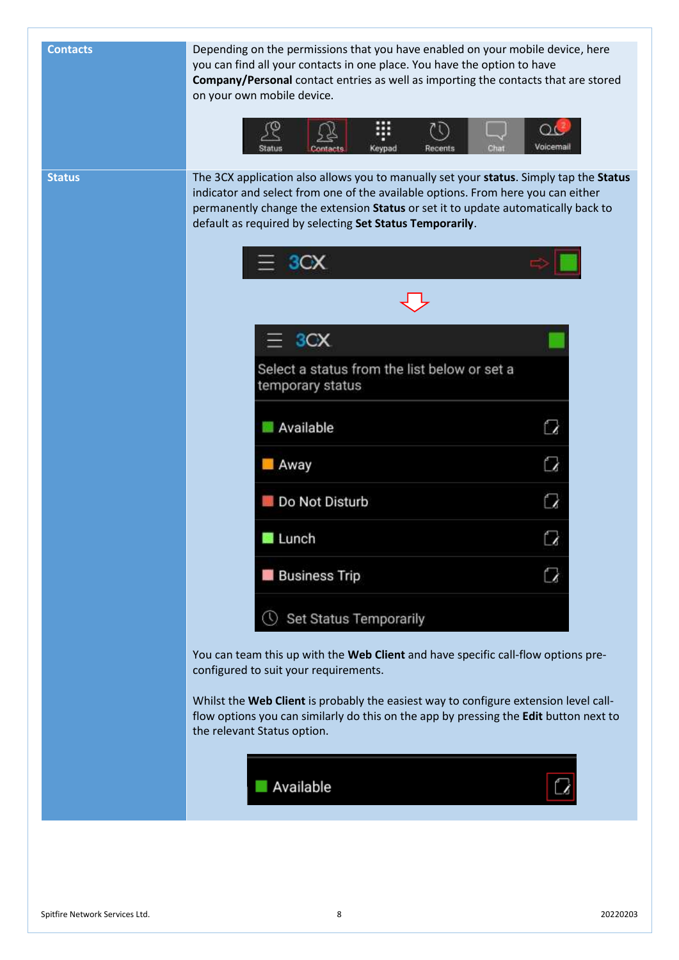| <b>Contacts</b> | Depending on the permissions that you have enabled on your mobile device, here<br>you can find all your contacts in one place. You have the option to have<br>Company/Personal contact entries as well as importing the contacts that are stored<br>on your own mobile device.                                              |
|-----------------|-----------------------------------------------------------------------------------------------------------------------------------------------------------------------------------------------------------------------------------------------------------------------------------------------------------------------------|
|                 | Voicemail<br>Keypad                                                                                                                                                                                                                                                                                                         |
| <b>Status</b>   | The 3CX application also allows you to manually set your status. Simply tap the Status<br>indicator and select from one of the available options. From here you can either<br>permanently change the extension Status or set it to update automatically back to<br>default as required by selecting Set Status Temporarily. |
|                 | 3CX                                                                                                                                                                                                                                                                                                                         |
|                 |                                                                                                                                                                                                                                                                                                                             |
|                 | 3CX<br>Select a status from the list below or set a                                                                                                                                                                                                                                                                         |
|                 | temporary status                                                                                                                                                                                                                                                                                                            |
|                 | Available<br>C                                                                                                                                                                                                                                                                                                              |
|                 | Q<br><b>M</b> Away                                                                                                                                                                                                                                                                                                          |
|                 | Q<br>Do Not Disturb                                                                                                                                                                                                                                                                                                         |
|                 | Lunch                                                                                                                                                                                                                                                                                                                       |
|                 | <b>Business Trip</b>                                                                                                                                                                                                                                                                                                        |
|                 | Set Status Temporarily                                                                                                                                                                                                                                                                                                      |
|                 | You can team this up with the Web Client and have specific call-flow options pre-<br>configured to suit your requirements.                                                                                                                                                                                                  |
|                 | Whilst the Web Client is probably the easiest way to configure extension level call-<br>flow options you can similarly do this on the app by pressing the Edit button next to<br>the relevant Status option.                                                                                                                |
|                 | Available                                                                                                                                                                                                                                                                                                                   |
|                 |                                                                                                                                                                                                                                                                                                                             |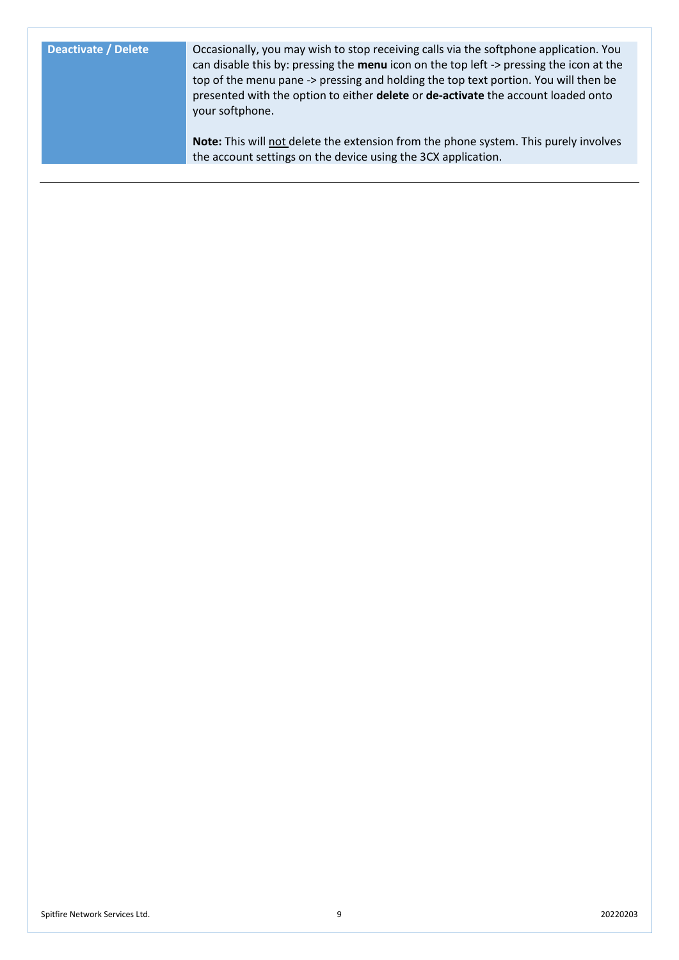**Deactivate / Delete Occasionally, you may wish to stop receiving calls via the softphone application. You** can disable this by: pressing the **menu** icon on the top left -> pressing the icon at the top of the menu pane -> pressing and holding the top text portion. You will then be presented with the option to either **delete** or **de-activate** the account loaded onto your softphone.

> **Note:** This will not delete the extension from the phone system. This purely involves the account settings on the device using the 3CX application.